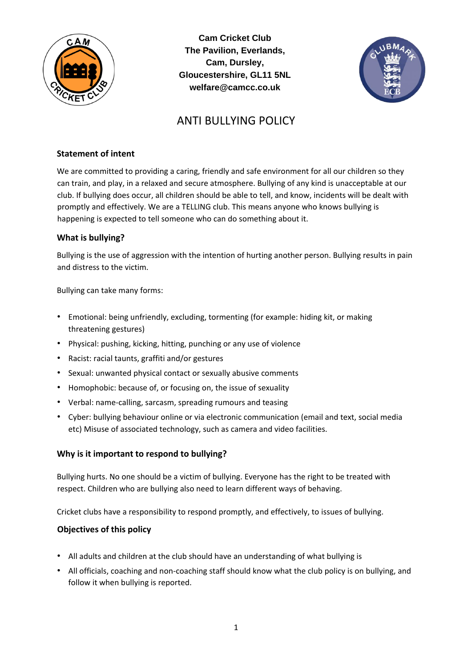

**Cam Cricket Club The Pavilion, Everlands, Cam, Dursley, Gloucestershire, GL11 5NL welfare@camcc.co.uk** 



# ANTI BULLYING POLICY

## **Statement of intent**

We are committed to providing a caring, friendly and safe environment for all our children so they can train, and play, in a relaxed and secure atmosphere. Bullying of any kind is unacceptable at our club. If bullying does occur, all children should be able to tell, and know, incidents will be dealt with promptly and effectively. We are a TELLING club. This means anyone who knows bullying is happening is expected to tell someone who can do something about it.

## **What is bullying?**

Bullying is the use of aggression with the intention of hurting another person. Bullying results in pain and distress to the victim.

Bullying can take many forms:

- Emotional: being unfriendly, excluding, tormenting (for example: hiding kit, or making threatening gestures)
- Physical: pushing, kicking, hitting, punching or any use of violence
- Racist: racial taunts, graffiti and/or gestures
- Sexual: unwanted physical contact or sexually abusive comments
- Homophobic: because of, or focusing on, the issue of sexuality
- Verbal: name-calling, sarcasm, spreading rumours and teasing
- Cyber: bullying behaviour online or via electronic communication (email and text, social media etc) Misuse of associated technology, such as camera and video facilities.

# **Why is it important to respond to bullying?**

Bullying hurts. No one should be a victim of bullying. Everyone has the right to be treated with respect. Children who are bullying also need to learn different ways of behaving.

Cricket clubs have a responsibility to respond promptly, and effectively, to issues of bullying.

#### **Objectives of this policy**

- All adults and children at the club should have an understanding of what bullying is
- All officials, coaching and non-coaching staff should know what the club policy is on bullying, and follow it when bullying is reported.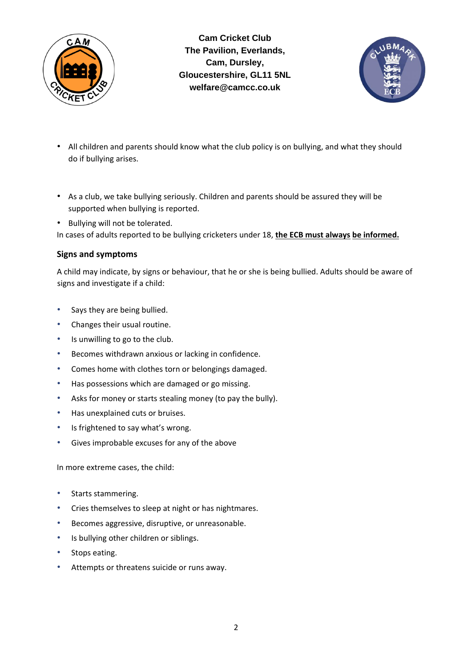

**Cam Cricket Club The Pavilion, Everlands, Cam, Dursley, Gloucestershire, GL11 5NL welfare@camcc.co.uk** 



- All children and parents should know what the club policy is on bullying, and what they should do if bullying arises.
- As a club, we take bullying seriously. Children and parents should be assured they will be supported when bullying is reported.
- Bullying will not be tolerated.

In cases of adults reported to be bullying cricketers under 18, **the ECB must always be informed.**

#### **Signs and symptoms**

A child may indicate, by signs or behaviour, that he or she is being bullied. Adults should be aware of signs and investigate if a child:

- Says they are being bullied.
- Changes their usual routine.
- Is unwilling to go to the club.
- Becomes withdrawn anxious or lacking in confidence.
- Comes home with clothes torn or belongings damaged.
- Has possessions which are damaged or go missing.
- Asks for money or starts stealing money (to pay the bully).
- Has unexplained cuts or bruises.
- Is frightened to say what's wrong.
- Gives improbable excuses for any of the above

In more extreme cases, the child:

- Starts stammering.
- Cries themselves to sleep at night or has nightmares.
- Becomes aggressive, disruptive, or unreasonable.
- Is bullying other children or siblings.
- Stops eating.
- Attempts or threatens suicide or runs away.